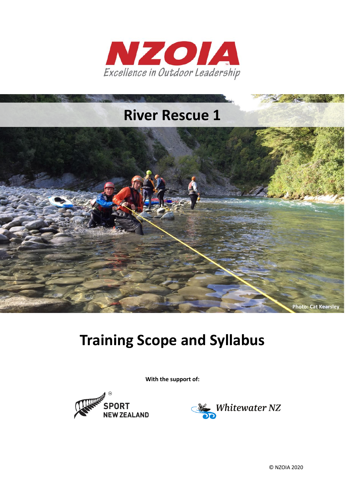



# **Training Scope and Syllabus**

**With the support of:**





© NZOIA 2020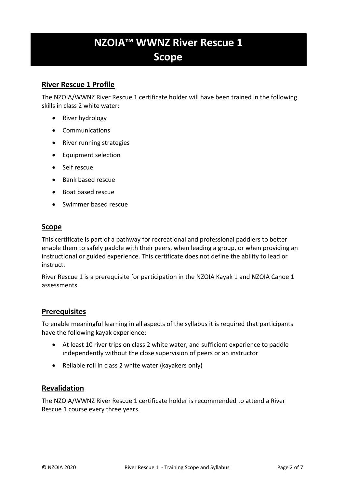# **NZOIA™ WWNZ River Rescue 1 Scope**

### **River Rescue 1 Profile**

The NZOIA/WWNZ River Rescue 1 certificate holder will have been trained in the following skills in class 2 white water:

- River hydrology
- Communications
- River running strategies
- Equipment selection
- Self rescue
- Bank based rescue
- Boat based rescue
- Swimmer based rescue

#### **Scope**

This certificate is part of a pathway for recreational and professional paddlers to better enable them to safely paddle with their peers, when leading a group, or when providing an instructional or guided experience. This certificate does not define the ability to lead or instruct.

River Rescue 1 is a prerequisite for participation in the NZOIA Kayak 1 and NZOIA Canoe 1 assessments.

#### **Prerequisites**

To enable meaningful learning in all aspects of the syllabus it is required that participants have the following kayak experience:

- At least 10 river trips on class 2 white water, and sufficient experience to paddle independently without the close supervision of peers or an instructor
- Reliable roll in class 2 white water (kayakers only)

#### **Revalidation**

The NZOIA/WWNZ River Rescue 1 certificate holder is recommended to attend a River Rescue 1 course every three years.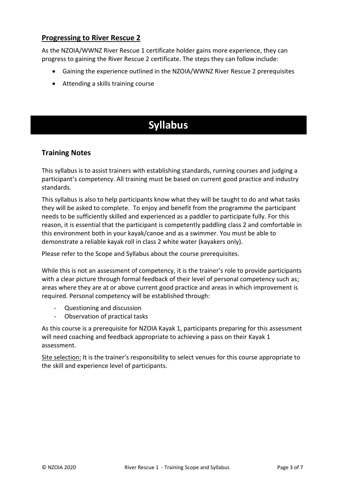## **Progressing to River Rescue 2**

As the NZOIA/WWNZ River Rescue 1 certificate holder gains more experience, they can progress to gaining the River Rescue 2 certificate. The steps they can follow include:

- Gaining the experience outlined in the NZOIA/WWNZ River Rescue 2 prerequisites
- Attending a skills training course

# **Syllabus**

### **Training Notes**

This syllabus is to assist trainers with establishing standards, running courses and judging a participant's competency. All training must be based on current good practice and industry standards.

This syllabus is also to help participants know what they will be taught to do and what tasks they will be asked to complete. To enjoy and benefit from the programme the participant needs to be sufficiently skilled and experienced as a paddler to participate fully. For this reason, it is essential that the participant is competently paddling class 2 and comfortable in this environment both in your kayak/canoe and as a swimmer. You must be able to demonstrate a reliable kayak roll in class 2 white water (kayakers only).

Please refer to the Scope and Syllabus about the course prerequisites.

While this is not an assessment of competency, it is the trainer's role to provide participants with a clear picture through formal feedback of their level of personal competency such as; areas where they are at or above current good practice and areas in which improvement is required. Personal competency will be established through:

- Questioning and discussion
- Observation of practical tasks

As this course is a prerequisite for NZOIA Kayak 1, participants preparing for this assessment will need coaching and feedback appropriate to achieving a pass on their Kayak 1 assessment.

Site selection: It is the trainer's responsibility to select venues for this course appropriate to the skill and experience level of participants.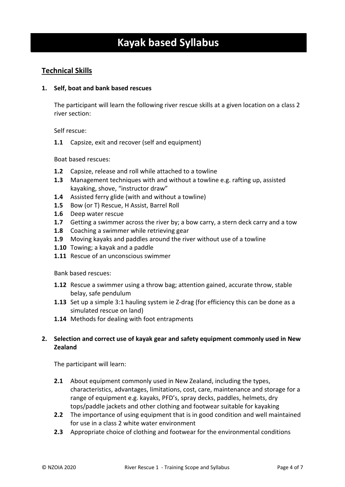# **Kayak based Syllabus**

## **Technical Skills**

#### **1. Self, boat and bank based rescues**

The participant will learn the following river rescue skills at a given location on a class 2 river section:

Self rescue:

**1.1** Capsize, exit and recover (self and equipment)

Boat based rescues:

- **1.2** Capsize, release and roll while attached to a towline
- **1.3** Management techniques with and without a towline e.g. rafting up, assisted kayaking, shove, "instructor draw"
- **1.4** Assisted ferry glide (with and without a towline)
- **1.5** Bow (or T) Rescue, H Assist, Barrel Roll
- **1.6** Deep water rescue
- **1.7** Getting a swimmer across the river by; a bow carry, a stern deck carry and a tow
- **1.8** Coaching a swimmer while retrieving gear
- **1.9** Moving kayaks and paddles around the river without use of a towline
- **1.10** Towing; a kayak and a paddle
- **1.11** Rescue of an unconscious swimmer

Bank based rescues:

- **1.12** Rescue a swimmer using a throw bag; attention gained, accurate throw, stable belay, safe pendulum
- **1.13** Set up a simple 3:1 hauling system ie Z-drag (for efficiency this can be done as a simulated rescue on land)
- **1.14** Methods for dealing with foot entrapments

#### **2. Selection and correct use of kayak gear and safety equipment commonly used in New Zealand**

The participant will learn:

- **2.1** About equipment commonly used in New Zealand, including the types, characteristics, advantages, limitations, cost, care, maintenance and storage for a range of equipment e.g. kayaks, PFD's, spray decks, paddles, helmets, dry tops/paddle jackets and other clothing and footwear suitable for kayaking
- **2.2** The importance of using equipment that is in good condition and well maintained for use in a class 2 white water environment
- **2.3** Appropriate choice of clothing and footwear for the environmental conditions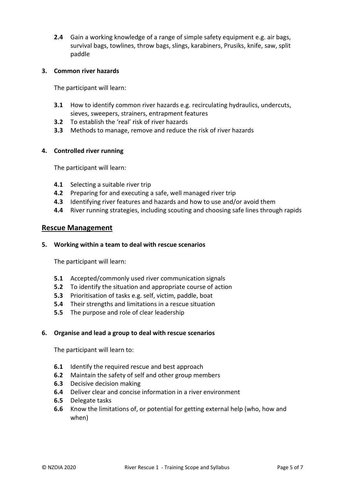**2.4** Gain a working knowledge of a range of simple safety equipment e.g. air bags, survival bags, towlines, throw bags, slings, karabiners, Prusiks, knife, saw, split paddle

#### **3. Common river hazards**

The participant will learn:

- **3.1** How to identify common river hazards e.g. recirculating hydraulics, undercuts, sieves, sweepers, strainers, entrapment features
- **3.2** To establish the 'real' risk of river hazards
- **3.3** Methods to manage, remove and reduce the risk of river hazards

#### **4. Controlled river running**

The participant will learn:

- **4.1** Selecting a suitable river trip
- **4.2** Preparing for and executing a safe, well managed river trip
- **4.3** Identifying river features and hazards and how to use and/or avoid them
- **4.4** River running strategies, including scouting and choosing safe lines through rapids

#### **Rescue Management**

#### **5. Working within a team to deal with rescue scenarios**

The participant will learn:

- **5.1** Accepted/commonly used river communication signals
- **5.2** To identify the situation and appropriate course of action
- **5.3** Prioritisation of tasks e.g. self, victim, paddle, boat
- **5.4** Their strengths and limitations in a rescue situation
- **5.5** The purpose and role of clear leadership

#### **6. Organise and lead a group to deal with rescue scenarios**

The participant will learn to:

- **6.1** Identify the required rescue and best approach
- **6.2** Maintain the safety of self and other group members
- **6.3** Decisive decision making
- **6.4** Deliver clear and concise information in a river environment
- **6.5** Delegate tasks
- **6.6** Know the limitations of, or potential for getting external help (who, how and when)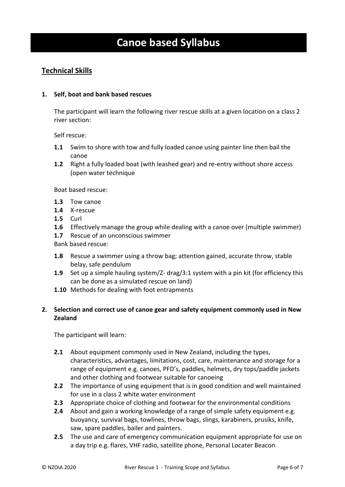# **Canoe based Syllabus**

### **Technical Skills**

#### **1. Self, boat and bank based rescues**

The participant will learn the following river rescue skills at a given location on a class 2 river section:

Self rescue:

- **1.1** Swim to shore with tow and fully loaded canoe using painter line then bail the canoe
- **1.2** Right a fully loaded boat (with leashed gear) and re-entry without shore access (open water technique

Boat based rescue:

- **1.3** Tow canoe
- **1.4** X-rescue
- **1.5** Curl
- **1.6** Effectively manage the group while dealing with a canoe over (multiple swimmer)
- **1.7** Rescue of an unconscious swimmer

Bank based rescue:

- **1.8** Rescue a swimmer using a throw bag; attention gained, accurate throw, stable belay, safe pendulum
- **1.9** Set up a simple hauling system/Z- drag/3:1 system with a pin kit (for efficiency this can be done as a simulated rescue on land)
- **1.10** Methods for dealing with foot entrapments

#### **2. Selection and correct use of canoe gear and safety equipment commonly used in New Zealand**

The participant will learn:

- **2.1** About equipment commonly used in New Zealand, including the types, characteristics, advantages, limitations, cost, care, maintenance and storage for a range of equipment e.g. canoes, PFD's, paddles, helmets, dry tops/paddle jackets and other clothing and footwear suitable for canoeing
- **2.2** The importance of using equipment that is in good condition and well maintained for use in a class 2 white water environment
- **2.3** Appropriate choice of clothing and footwear for the environmental conditions
- **2.4** About and gain a working knowledge of a range of simple safety equipment e.g. buoyancy, survival bags, towlines, throw bags, slings, karabiners, prusiks, knife, saw, spare paddles, bailer and painters.
- **2.5** The use and care of emergency communication equipment appropriate for use on a day trip e.g. flares, VHF radio, satellite phone, Personal Locater Beacon